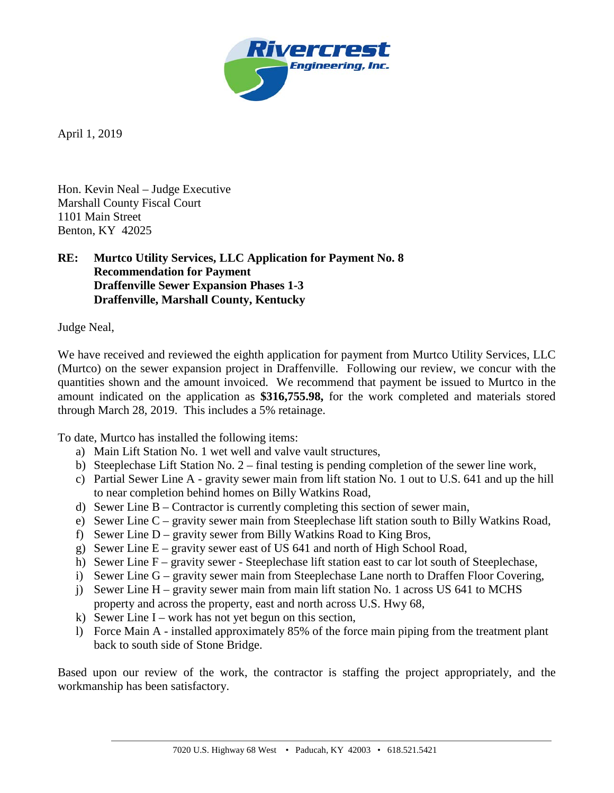

April 1, 2019

Hon. Kevin Neal – Judge Executive Marshall County Fiscal Court 1101 Main Street Benton, KY 42025

## **RE: Murtco Utility Services, LLC Application for Payment No. 8 Recommendation for Payment Draffenville Sewer Expansion Phases 1-3 Draffenville, Marshall County, Kentucky**

Judge Neal,

We have received and reviewed the eighth application for payment from Murtco Utility Services, LLC (Murtco) on the sewer expansion project in Draffenville. Following our review, we concur with the quantities shown and the amount invoiced. We recommend that payment be issued to Murtco in the amount indicated on the application as **\$316,755.98,** for the work completed and materials stored through March 28, 2019. This includes a 5% retainage.

To date, Murtco has installed the following items:

- a) Main Lift Station No. 1 wet well and valve vault structures,
- b) Steeplechase Lift Station No. 2 final testing is pending completion of the sewer line work,
- c) Partial Sewer Line A gravity sewer main from lift station No. 1 out to U.S. 641 and up the hill to near completion behind homes on Billy Watkins Road,
- d) Sewer Line B Contractor is currently completing this section of sewer main,
- e) Sewer Line C gravity sewer main from Steeplechase lift station south to Billy Watkins Road,
- f) Sewer Line D gravity sewer from Billy Watkins Road to King Bros,
- g) Sewer Line E gravity sewer east of US 641 and north of High School Road,
- h) Sewer Line F gravity sewer Steeplechase lift station east to car lot south of Steeplechase,
- i) Sewer Line G gravity sewer main from Steeplechase Lane north to Draffen Floor Covering,
- j) Sewer Line H gravity sewer main from main lift station No. 1 across US 641 to MCHS property and across the property, east and north across U.S. Hwy 68,
- k) Sewer Line I work has not yet begun on this section,
- l) Force Main A installed approximately 85% of the force main piping from the treatment plant back to south side of Stone Bridge.

Based upon our review of the work, the contractor is staffing the project appropriately, and the workmanship has been satisfactory.